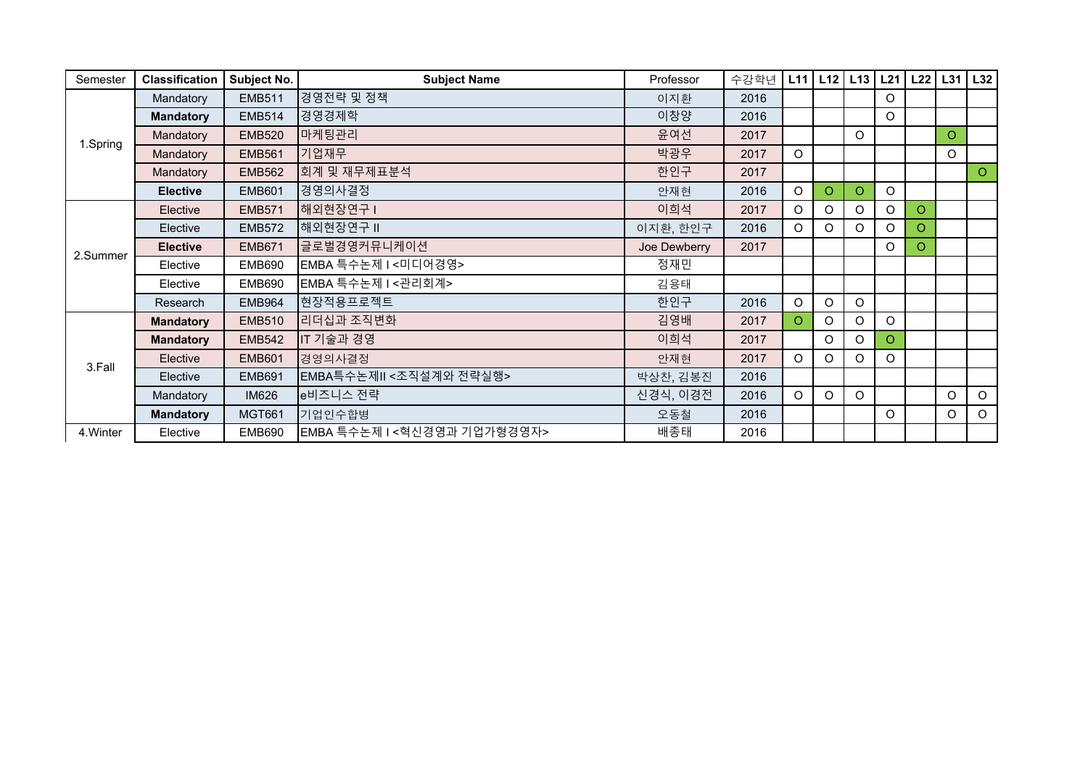| Semester  | <b>Classification</b> | Subject No.   | <b>Subject Name</b>        | Professor    | 수강학년 | L11      | L12     | L13     | L21     | L22     | $L31$ $L32$ |         |
|-----------|-----------------------|---------------|----------------------------|--------------|------|----------|---------|---------|---------|---------|-------------|---------|
| 1.Spring  | Mandatory             | <b>EMB511</b> | 경영전략 및 정책                  | 이지환          | 2016 |          |         |         | $\circ$ |         |             |         |
|           | <b>Mandatory</b>      | <b>EMB514</b> | 경영경제학                      | 이창양          | 2016 |          |         |         | $\circ$ |         |             |         |
|           | Mandatory             | <b>EMB520</b> | 마케팅관리                      | 윤여선          | 2017 |          |         | $\circ$ |         |         | $\circ$     |         |
|           | Mandatory             | <b>EMB561</b> | 기업재무                       | 박광우          | 2017 | $\circ$  |         |         |         |         | $\mathsf O$ |         |
|           | Mandatory             | <b>EMB562</b> | 회계 및 재무제표분석                | 한인구          | 2017 |          |         |         |         |         |             | $\circ$ |
|           | <b>Elective</b>       | <b>EMB601</b> | 경영의사결정                     | 안재현          | 2016 | O        | $\circ$ | O.      | $\circ$ |         |             |         |
| 2.Summer  | Elective              | <b>EMB571</b> | 해외현장연구                     | 이희석          | 2017 | $\circ$  | $\circ$ | $\circ$ | $\circ$ | $\circ$ |             |         |
|           | Elective              | <b>EMB572</b> | 해외현장연구 II                  | 이지환, 한인구     | 2016 | $\Omega$ | $\circ$ | O       | O       | $\circ$ |             |         |
|           | <b>Elective</b>       | <b>EMB671</b> | 글로벌경영커뮤니케이션                | Joe Dewberry | 2017 |          |         |         | $\circ$ | $\circ$ |             |         |
|           | Elective              | <b>EMB690</b> | EMBA 특수논제 I<미디어경영>         | 정재민          |      |          |         |         |         |         |             |         |
|           | Elective              | <b>EMB690</b> | EMBA 특수논제 I<관리회계>          | 김용태          |      |          |         |         |         |         |             |         |
|           | Research              | <b>EMB964</b> | 현장적용프로젝트                   | 한인구          | 2016 | $\circ$  | O       | $\circ$ |         |         |             |         |
| 3.Fall    | <b>Mandatory</b>      | <b>EMB510</b> | 리더십과 조직변화                  | 김영배          | 2017 | O.       | $\circ$ | $\circ$ | $\circ$ |         |             |         |
|           | <b>Mandatory</b>      | <b>EMB542</b> | IT 기술과 경영                  | 이희석          | 2017 |          | O       | $\circ$ | $\circ$ |         |             |         |
|           | Elective              | <b>EMB601</b> | 경영의사결정                     | 안재현          | 2017 | $\circ$  | $\circ$ | $\circ$ | O       |         |             |         |
|           | Elective              | <b>EMB691</b> | EMBA특수논제II<조직설계와 전략실행>     | 박상찬, 김봉진     | 2016 |          |         |         |         |         |             |         |
|           | Mandatory             | <b>IM626</b>  | e비즈니스 전략                   | 신경식, 이경전     | 2016 | $\circ$  | $\circ$ | $\circ$ |         |         | $\circ$     | $\circ$ |
|           | <b>Mandatory</b>      | <b>MGT661</b> | 기업인수합병                     | 오동철          | 2016 |          |         |         | $\circ$ |         | O           | $\circ$ |
| 4. Winter | Elective              | <b>EMB690</b> | EMBA 특수논제 I<혁신경영과 기업가형경영자> | 배종태          | 2016 |          |         |         |         |         |             |         |